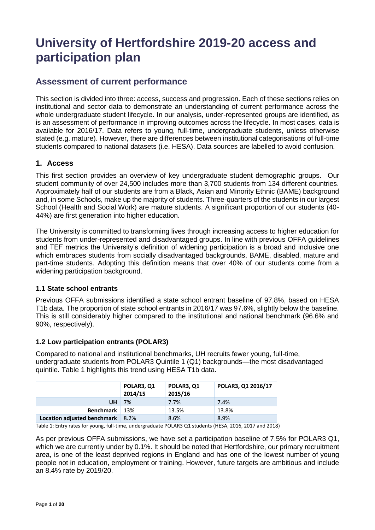# **University of Hertfordshire 2019-20 access and participation plan**

# **Assessment of current performance**

This section is divided into three: access, success and progression. Each of these sections relies on institutional and sector data to demonstrate an understanding of current performance across the whole undergraduate student lifecycle. In our analysis, under-represented groups are identified, as is an assessment of performance in improving outcomes across the lifecycle. In most cases, data is available for 2016/17. Data refers to young, full-time, undergraduate students, unless otherwise stated (e.g. mature). However, there are differences between institutional categorisations of full-time students compared to national datasets (i.e. HESA). Data sources are labelled to avoid confusion.

# **1. Access**

This first section provides an overview of key undergraduate student demographic groups. Our student community of over 24,500 includes more than 3,700 students from 134 different countries. Approximately half of our students are from a Black, Asian and Minority Ethnic (BAME) background and, in some Schools, make up the majority of students. Three-quarters of the students in our largest School (Health and Social Work) are mature students. A significant proportion of our students (40- 44%) are first generation into higher education.

The University is committed to transforming lives through increasing access to higher education for students from under-represented and disadvantaged groups. In line with previous OFFA guidelines and TEF metrics the University's definition of widening participation is a broad and inclusive one which embraces students from socially disadvantaged backgrounds, BAME, disabled, mature and part-time students. Adopting this definition means that over 40% of our students come from a widening participation background.

# **1.1 State school entrants**

Previous OFFA submissions identified a state school entrant baseline of 97.8%, based on HESA T1b data. The proportion of state school entrants in 2016/17 was 97.6%, slightly below the baseline. This is still considerably higher compared to the institutional and national benchmark (96.6% and 90%, respectively).

# **1.2 Low participation entrants (POLAR3)**

Compared to national and institutional benchmarks, UH recruits fewer young, full-time, undergraduate students from POLAR3 Quintile 1 (Q1) backgrounds—the most disadvantaged quintile. Table 1 highlights this trend using HESA T1b data.

|                             | POLAR3, Q1<br>2014/15 | POLAR3, Q1<br>2015/16 | POLAR3, Q1 2016/17 |
|-----------------------------|-----------------------|-----------------------|--------------------|
| UH                          | 7%                    | 7.7%                  | 7.4%               |
| <b>Benchmark</b>            | -13%                  | 13.5%                 | 13.8%              |
| Location adjusted benchmark | 8.2%                  | 8.6%                  | 8.9%               |

Table 1: Entry rates for young, full-time, undergraduate POLAR3 Q1 students (HESA, 2016, 2017 and 2018)

As per previous OFFA submissions, we have set a participation baseline of 7.5% for POLAR3 Q1, which we are currently under by 0.1%. It should be noted that Hertfordshire, our primary recruitment area, is one of the least deprived regions in England and has one of the lowest number of young people not in education, employment or training. However, future targets are ambitious and include an 8.4% rate by 2019/20.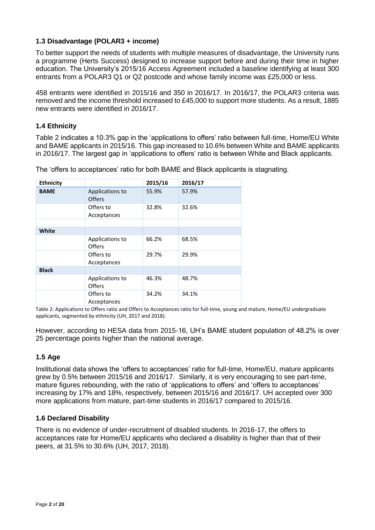## **1.3 Disadvantage (POLAR3 + income)**

To better support the needs of students with multiple measures of disadvantage, the University runs a programme (Herts Success) designed to increase support before and during their time in higher education. The University's 2015/16 Access Agreement included a baseline identifying at least 300 entrants from a POLAR3 Q1 or Q2 postcode and whose family income was £25,000 or less.

458 entrants were identified in 2015/16 and 350 in 2016/17. In 2016/17, the POLAR3 criteria was removed and the income threshold increased to £45,000 to support more students. As a result, 1885 new entrants were identified in 2016/17.

## **1.4 Ethnicity**

Table 2 indicates a 10.3% gap in the 'applications to offers' ratio between full-time, Home/EU White and BAME applicants in 2015/16. This gap increased to 10.6% between White and BAME applicants in 2016/17. The largest gap in 'applications to offers' ratio is between White and Black applicants.

| <b>Ethnicity</b> |                                  | 2015/16 | 2016/17 |
|------------------|----------------------------------|---------|---------|
| <b>BAME</b>      | Applications to<br><b>Offers</b> | 55.9%   | 57.9%   |
|                  | Offers to<br>Acceptances         | 32.8%   | 32.6%   |
|                  |                                  |         |         |
| White            |                                  |         |         |
|                  | Applications to<br><b>Offers</b> | 66.2%   | 68.5%   |
|                  | Offers to<br>Acceptances         | 29.7%   | 29.9%   |
| <b>Black</b>     |                                  |         |         |
|                  | Applications to<br>Offers        | 46.3%   | 48.7%   |
|                  | Offers to<br>Acceptances         | 34.2%   | 34.1%   |

The 'offers to acceptances' ratio for both BAME and Black applicants is stagnating.

Table 2: Applications to Offers ratio and Offers to Acceptances ratio for full-time, young and mature, Home/EU undergraduate applicants, segmented by ethnicity (UH, 2017 and 2018).

However, according to HESA data from 2015-16, UH's BAME student population of 48.2% is over 25 percentage points higher than the national average.

#### **1.5 Age**

Institutional data shows the 'offers to acceptances' ratio for full-time, Home/EU, mature applicants grew by 0.5% between 2015/16 and 2016/17. Similarly, it is very encouraging to see part-time, mature figures rebounding, with the ratio of 'applications to offers' and 'offers to acceptances' increasing by 17% and 18%, respectively, between 2015/16 and 2016/17. UH accepted over 300 more applications from mature, part-time students in 2016/17 compared to 2015/16.

#### **1.6 Declared Disability**

There is no evidence of under-recruitment of disabled students. In 2016-17, the offers to acceptances rate for Home/EU applicants who declared a disability is higher than that of their peers, at 31.5% to 30.6% (UH, 2017, 2018).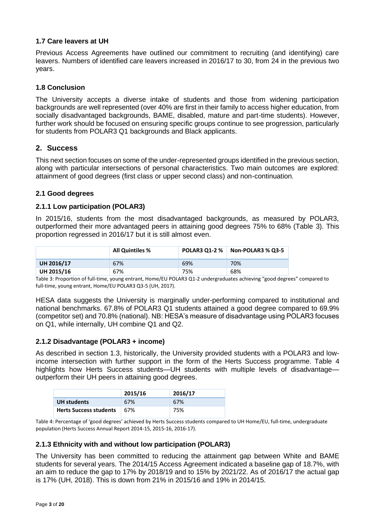#### **1.7 Care leavers at UH**

Previous Access Agreements have outlined our commitment to recruiting (and identifying) care leavers. Numbers of identified care leavers increased in 2016/17 to 30, from 24 in the previous two years.

#### **1.8 Conclusion**

The University accepts a diverse intake of students and those from widening participation backgrounds are well represented (over 40% are first in their family to access higher education, from socially disadvantaged backgrounds, BAME, disabled, mature and part-time students). However, further work should be focused on ensuring specific groups continue to see progression, particularly for students from POLAR3 Q1 backgrounds and Black applicants.

# **2. Success**

This next section focuses on some of the under-represented groups identified in the previous section, along with particular intersections of personal characteristics. Two main outcomes are explored: attainment of good degrees (first class or upper second class) and non-continuation.

## **2.1 Good degrees**

#### **2.1.1 Low participation (POLAR3)**

In 2015/16, students from the most disadvantaged backgrounds, as measured by POLAR3, outperformed their more advantaged peers in attaining good degrees 75% to 68% (Table 3). This proportion regressed in 2016/17 but it is still almost even.

|            | <b>All Quintiles %</b> | <b>POLAR3 01-2 %</b> | Non-POLAR3 % Q3-5 |
|------------|------------------------|----------------------|-------------------|
| UH 2016/17 | 67%                    | 69%                  | 70%               |
| UH 2015/16 | 67%                    | 75%                  | 68%               |

Table 3: Proportion of full-time, young entrant, Home/EU POLAR3 Q1-2 undergraduates achieving "good degrees" compared to full-time, young entrant, Home/EU POLAR3 Q3-5 (UH, 2017).

HESA data suggests the University is marginally under-performing compared to institutional and national benchmarks. 67.8% of POLAR3 Q1 students attained a good degree compared to 69.9% (competitor set) and 70.8% (national). NB: HESA's measure of disadvantage using POLAR3 focuses on Q1, while internally, UH combine Q1 and Q2.

#### **2.1.2 Disadvantage (POLAR3 + income)**

As described in section 1.3, historically, the University provided students with a POLAR3 and lowincome intersection with further support in the form of the Herts Success programme. Table 4 highlights how Herts Success students—UH students with multiple levels of disadvantage outperform their UH peers in attaining good degrees.

|                               | 2015/16 | 2016/17 |
|-------------------------------|---------|---------|
| <b>UH</b> students            | 67%     | 67%     |
| <b>Herts Success students</b> | 67%     | 75%     |

Table 4: Percentage of 'good degrees' achieved by Herts Success students compared to UH Home/EU, full-time, undergraduate population (Herts Success Annual Report 2014-15, 2015-16, 2016-17).

#### **2.1.3 Ethnicity with and without low participation (POLAR3)**

The University has been committed to reducing the attainment gap between White and BAME students for several years. The 2014/15 Access Agreement indicated a baseline gap of 18.7%, with an aim to reduce the gap to 17% by 2018/19 and to 15% by 2021/22. As of 2016/17 the actual gap is 17% (UH, 2018). This is down from 21% in 2015/16 and 19% in 2014/15.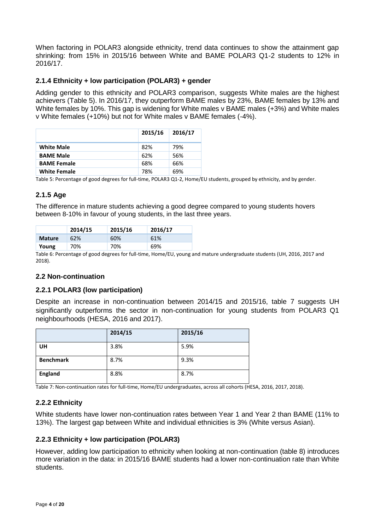When factoring in POLAR3 alongside ethnicity, trend data continues to show the attainment gap shrinking: from 15% in 2015/16 between White and BAME POLAR3 Q1-2 students to 12% in 2016/17.

#### **2.1.4 Ethnicity + low participation (POLAR3) + gender**

Adding gender to this ethnicity and POLAR3 comparison, suggests White males are the highest achievers (Table 5). In 2016/17, they outperform BAME males by 23%, BAME females by 13% and White females by 10%. This gap is widening for White males v BAME males (+3%) and White males v White females (+10%) but not for White males v BAME females (-4%).

|                     | 2015/16 | 2016/17 |
|---------------------|---------|---------|
| <b>White Male</b>   | 82%     | 79%     |
| <b>BAME Male</b>    | 62%     | 56%     |
| <b>BAME Female</b>  | 68%     | 66%     |
| <b>White Female</b> | 78%     | 69%     |

Table 5: Percentage of good degrees for full-time, POLAR3 Q1-2, Home/EU students, grouped by ethnicity, and by gender.

#### **2.1.5 Age**

The difference in mature students achieving a good degree compared to young students hovers between 8-10% in favour of young students, in the last three years.

|               | 2014/15 | 2015/16 | 2016/17 |
|---------------|---------|---------|---------|
| <b>Mature</b> | 62%     | 60%     | 61%     |
| Young         | 70%     | 70%     | 69%     |

Table 6: Percentage of good degrees for full-time, Home/EU, young and mature undergraduate students (UH, 2016, 2017 and 2018).

#### **2.2 Non-continuation**

#### **2.2.1 POLAR3 (low participation)**

Despite an increase in non-continuation between 2014/15 and 2015/16, table 7 suggests UH significantly outperforms the sector in non-continuation for young students from POLAR3 Q1 neighbourhoods (HESA, 2016 and 2017).

|                  | 2014/15 | 2015/16 |
|------------------|---------|---------|
| <b>UH</b>        | 3.8%    | 5.9%    |
| <b>Benchmark</b> | 8.7%    | 9.3%    |
| <b>England</b>   | 8.8%    | 8.7%    |

Table 7: Non-continuation rates for full-time, Home/EU undergraduates, across all cohorts (HESA, 2016, 2017, 2018).

#### **2.2.2 Ethnicity**

White students have lower non-continuation rates between Year 1 and Year 2 than BAME (11% to 13%). The largest gap between White and individual ethnicities is 3% (White versus Asian).

#### **2.2.3 Ethnicity + low participation (POLAR3)**

However, adding low participation to ethnicity when looking at non-continuation (table 8) introduces more variation in the data: in 2015/16 BAME students had a lower non-continuation rate than White students.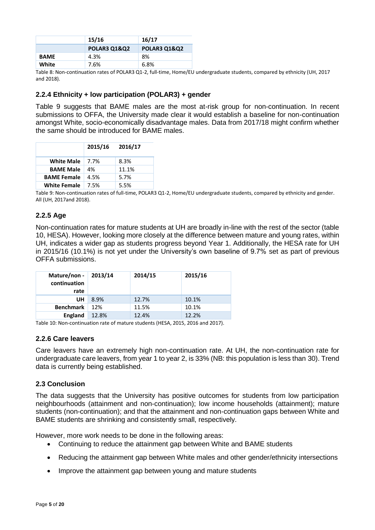|             | 15/16                   | 16/17                   |
|-------------|-------------------------|-------------------------|
|             | <b>POLAR3 Q1&amp;Q2</b> | <b>POLAR3 01&amp;02</b> |
| <b>BAME</b> | 4.3%                    | 8%                      |
| White       | 7.6%                    | 6.8%                    |

Table 8: Non-continuation rates of POLAR3 Q1-2, full-time, Home/EU undergraduate students, compared by ethnicity (UH, 2017 and 2018).

#### **2.2.4 Ethnicity + low participation (POLAR3) + gender**

Table 9 suggests that BAME males are the most at-risk group for non-continuation. In recent submissions to OFFA, the University made clear it would establish a baseline for non-continuation amongst White, socio-economically disadvantage males. Data from 2017/18 might confirm whether the same should be introduced for BAME males.

|                     | 2015/16 | 2016/17 |
|---------------------|---------|---------|
| <b>White Male</b>   | 7.7%    | 8.3%    |
| <b>BAME Male</b>    | 4%      | 11.1%   |
| <b>BAME Female</b>  | 4.5%    | 5.7%    |
| <b>White Female</b> | 7.5%    | 5.5%    |

Table 9: Non-continuation rates of full-time, POLAR3 Q1-2, Home/EU undergraduate students, compared by ethnicity and gender. All (UH, 2017and 2018).

## **2.2.5 Age**

Non-continuation rates for mature students at UH are broadly in-line with the rest of the sector (table 10, HESA). However, looking more closely at the difference between mature and young rates, within UH, indicates a wider gap as students progress beyond Year 1. Additionally, the HESA rate for UH in 2015/16 (10.1%) is not yet under the University's own baseline of 9.7% set as part of previous OFFA submissions.

| Mature/non -<br>continuation<br>rate | 2013/14 | 2014/15 | 2015/16 |
|--------------------------------------|---------|---------|---------|
| UH                                   | 8.9%    | 12.7%   | 10.1%   |
| <b>Benchmark</b>                     | 12%     | 11.5%   | 10.1%   |
| <b>England</b>                       | 12.8%   | 12.4%   | 12.2%   |

Table 10: Non-continuation rate of mature students (HESA, 2015, 2016 and 2017).

#### **2.2.6 Care leavers**

Care leavers have an extremely high non-continuation rate. At UH, the non-continuation rate for undergraduate care leavers, from year 1 to year 2, is 33% (NB: this population is less than 30). Trend data is currently being established.

#### **2.3 Conclusion**

The data suggests that the University has positive outcomes for students from low participation neighbourhoods (attainment and non-continuation); low income households (attainment); mature students (non-continuation); and that the attainment and non-continuation gaps between White and BAME students are shrinking and consistently small, respectively.

However, more work needs to be done in the following areas:

- Continuing to reduce the attainment gap between White and BAME students
- Reducing the attainment gap between White males and other gender/ethnicity intersections
- Improve the attainment gap between young and mature students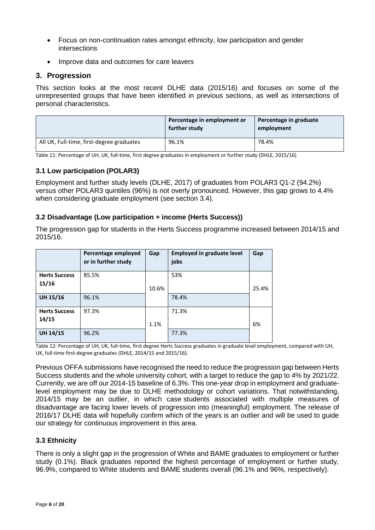- Focus on non-continuation rates amongst ethnicity, low participation and gender intersections
- Improve data and outcomes for care leavers

## **3. Progression**

This section looks at the most recent DLHE data (2015/16) and focuses on some of the unrepresented groups that have been identified in previous sections, as well as intersections of personal characteristics.

|                                           | Percentage in employment or<br>further study | Percentage in graduate<br>employment |
|-------------------------------------------|----------------------------------------------|--------------------------------------|
| All UK, Full-time, first-degree graduates | 96.1%                                        | 78.4%                                |

Table 11: Percentage of UH, UK, full-time, first degree graduates in employment or further study (DHLE, 2015/16)

## **3.1 Low participation (POLAR3)**

Employment and further study levels (DLHE, 2017) of graduates from POLAR3 Q1-2 (94.2%) versus other POLAR3 quintiles (96%) is not overly pronounced. However, this gap grows to 4.4% when considering graduate employment (see section 3.4).

#### **3.2 Disadvantage (Low participation + income (Herts Success))**

The progression gap for students in the Herts Success programme increased between 2014/15 and 2015/16.

|                               | Percentage employed<br>or in further study | Gap   | <b>Employed in graduate level</b><br>jobs | Gap   |
|-------------------------------|--------------------------------------------|-------|-------------------------------------------|-------|
| <b>Herts Success</b><br>15/16 | 85.5%                                      | 10.6% | 53%                                       | 25.4% |
| <b>UH 15/16</b>               | 96.1%                                      |       | 78.4%                                     |       |
| <b>Herts Success</b><br>14/15 | 97.3%                                      | 1.1%  | 71.3%                                     | 6%    |
| <b>UH 14/15</b>               | 96.2%                                      |       | 77.3%                                     |       |

Table 12: Percentage of UH, UK, full-time, first degree Herts Success graduates in graduate level employment, compared with UH, UK, full-time first-degree graduates (DHLE, 2014/15 and 2015/16).

Previous OFFA submissions have recognised the need to reduce the progression gap between Herts Success students and the whole university cohort, with a target to reduce the gap to 4% by 2021/22. Currently, we are off our 2014-15 baseline of 6.3%. This one-year drop in employment and graduatelevel employment may be due to DLHE methodology or cohort variations. That notwithstanding, 2014/15 may be an outlier, in which case students associated with multiple measures of disadvantage are facing lower levels of progression into (meaningful) employment. The release of 2016/17 DLHE data will hopefully confirm which of the years is an outlier and will be used to guide our strategy for continuous improvement in this area.

#### **3.3 Ethnicity**

There is only a slight gap in the progression of White and BAME graduates to employment or further study (0.1%). Black graduates reported the highest percentage of employment or further study, 96.9%, compared to White students and BAME students overall (96.1% and 96%, respectively).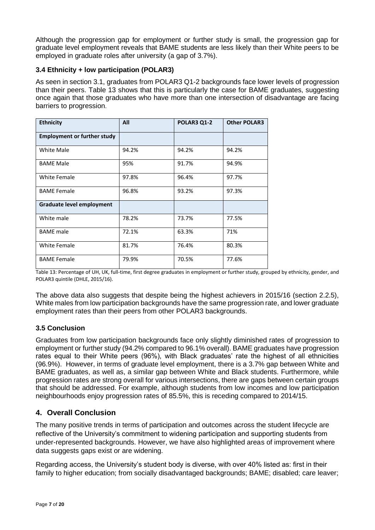Although the progression gap for employment or further study is small, the progression gap for graduate level employment reveals that BAME students are less likely than their White peers to be employed in graduate roles after university (a gap of 3.7%).

## **3.4 Ethnicity + low participation (POLAR3)**

As seen in section 3.1, graduates from POLAR3 Q1-2 backgrounds face lower levels of progression than their peers. Table 13 shows that this is particularly the case for BAME graduates, suggesting once again that those graduates who have more than one intersection of disadvantage are facing barriers to progression.

| <b>Ethnicity</b>                   | All   | <b>POLAR3 Q1-2</b> | <b>Other POLAR3</b> |  |  |
|------------------------------------|-------|--------------------|---------------------|--|--|
| <b>Employment or further study</b> |       |                    |                     |  |  |
| White Male                         | 94.2% | 94.2%              | 94.2%               |  |  |
| <b>BAME Male</b>                   | 95%   | 91.7%              | 94.9%               |  |  |
| White Female                       | 97.8% | 96.4%              | 97.7%               |  |  |
| <b>BAME Female</b>                 | 96.8% | 93.2%              | 97.3%               |  |  |
| <b>Graduate level employment</b>   |       |                    |                     |  |  |
| White male                         | 78.2% | 73.7%              | 77.5%               |  |  |
| <b>BAME</b> male                   | 72.1% | 63.3%              | 71%                 |  |  |
| <b>White Female</b>                | 81.7% | 76.4%              | 80.3%               |  |  |
| <b>BAME Female</b>                 | 79.9% | 70.5%              | 77.6%               |  |  |

Table 13: Percentage of UH, UK, full-time, first degree graduates in employment or further study, grouped by ethnicity, gender, and POLAR3 quintile (DHLE, 2015/16).

The above data also suggests that despite being the highest achievers in 2015/16 (section 2.2.5), White males from low participation backgrounds have the same progression rate, and lower graduate employment rates than their peers from other POLAR3 backgrounds.

# **3.5 Conclusion**

Graduates from low participation backgrounds face only slightly diminished rates of progression to employment or further study (94.2% compared to 96.1% overall). BAME graduates have progression rates equal to their White peers (96%), with Black graduates' rate the highest of all ethnicities (96.9%). However, in terms of graduate level employment, there is a 3.7% gap between White and BAME graduates, as well as, a similar gap between White and Black students. Furthermore, while progression rates are strong overall for various intersections, there are gaps between certain groups that should be addressed. For example, although students from low incomes and low participation neighbourhoods enjoy progression rates of 85.5%, this is receding compared to 2014/15.

# **4. Overall Conclusion**

The many positive trends in terms of participation and outcomes across the student lifecycle are reflective of the University's commitment to widening participation and supporting students from under-represented backgrounds. However, we have also highlighted areas of improvement where data suggests gaps exist or are widening.

Regarding access, the University's student body is diverse, with over 40% listed as: first in their family to higher education; from socially disadvantaged backgrounds; BAME; disabled; care leaver;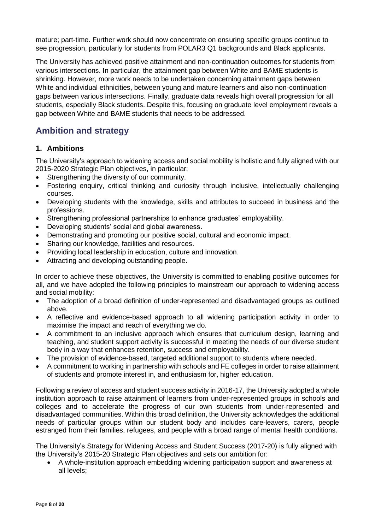mature; part-time. Further work should now concentrate on ensuring specific groups continue to see progression, particularly for students from POLAR3 Q1 backgrounds and Black applicants.

The University has achieved positive attainment and non-continuation outcomes for students from various intersections. In particular, the attainment gap between White and BAME students is shrinking. However, more work needs to be undertaken concerning attainment gaps between White and individual ethnicities, between young and mature learners and also non-continuation gaps between various intersections. Finally, graduate data reveals high overall progression for all students, especially Black students. Despite this, focusing on graduate level employment reveals a gap between White and BAME students that needs to be addressed.

# **Ambition and strategy**

# **1. Ambitions**

The University's approach to widening access and social mobility is holistic and fully aligned with our 2015-2020 Strategic Plan objectives, in particular:

- Strengthening the diversity of our community.
- Fostering enquiry, critical thinking and curiosity through inclusive, intellectually challenging courses.
- Developing students with the knowledge, skills and attributes to succeed in business and the professions.
- Strengthening professional partnerships to enhance graduates' employability.
- Developing students' social and global awareness.
- Demonstrating and promoting our positive social, cultural and economic impact.
- Sharing our knowledge, facilities and resources.
- Providing local leadership in education, culture and innovation.
- Attracting and developing outstanding people.

In order to achieve these objectives, the University is committed to enabling positive outcomes for all, and we have adopted the following principles to mainstream our approach to widening access and social mobility:

- The adoption of a broad definition of under-represented and disadvantaged groups as outlined above.
- A reflective and evidence-based approach to all widening participation activity in order to maximise the impact and reach of everything we do.
- A commitment to an inclusive approach which ensures that curriculum design, learning and teaching, and student support activity is successful in meeting the needs of our diverse student body in a way that enhances retention, success and employability.
- The provision of evidence-based, targeted additional support to students where needed.
- A commitment to working in partnership with schools and FE colleges in order to raise attainment of students and promote interest in, and enthusiasm for, higher education.

Following a review of access and student success activity in 2016-17, the University adopted a whole institution approach to raise attainment of learners from under-represented groups in schools and colleges and to accelerate the progress of our own students from under-represented and disadvantaged communities. Within this broad definition, the University acknowledges the additional needs of particular groups within our student body and includes care-leavers, carers, people estranged from their families, refugees, and people with a broad range of mental health conditions.

The University's Strategy for Widening Access and Student Success (2017-20) is fully aligned with the University's 2015-20 Strategic Plan objectives and sets our ambition for:

 A whole-institution approach embedding widening participation support and awareness at all levels;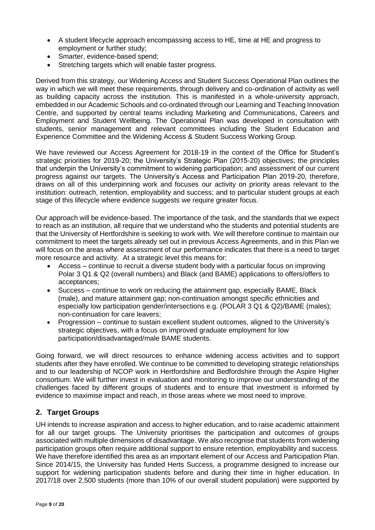- A student lifecycle approach encompassing access to HE, time at HE and progress to employment or further study;
- Smarter, evidence-based spend;
- Stretching targets which will enable faster progress.

Derived from this strategy, our Widening Access and Student Success Operational Plan outlines the way in which we will meet these requirements, through delivery and co-ordination of activity as well as building capacity across the institution. This is manifested in a whole-university approach, embedded in our Academic Schools and co-ordinated through our Learning and Teaching Innovation Centre, and supported by central teams including Marketing and Communications, Careers and Employment and Student Wellbeing. The Operational Plan was developed in consultation with students, senior management and relevant committees including the Student Education and Experience Committee and the Widening Access & Student Success Working Group.

We have reviewed our Access Agreement for 2018-19 in the context of the Office for Student's strategic priorities for 2019-20; the University's Strategic Plan (2015-20) objectives; the principles that underpin the University's commitment to widening participation; and assessment of our current progress against our targets. The University's Access and Participation Plan 2019-20, therefore, draws on all of this underpinning work and focuses our activity on priority areas relevant to the institution: outreach, retention, employability and success; and to particular student groups at each stage of this lifecycle where evidence suggests we require greater focus.

Our approach will be evidence-based. The importance of the task, and the standards that we expect to reach as an institution, all require that we understand who the students and potential students are that the University of Hertfordshire is seeking to work with. We will therefore continue to maintain our commitment to meet the targets already set out in previous Access Agreements, and in this Plan we will focus on the areas where assessment of our performance indicates that there is a need to target more resource and activity. At a strategic level this means for:

- Access continue to recruit a diverse student body with a particular focus on improving Polar 3 Q1 & Q2 (overall numbers) and Black (and BAME) applications to offers/offers to acceptances;
- Success continue to work on reducing the attainment gap, especially BAME, Black (male), and mature attainment gap; non-continuation amongst specific ethnicities and especially low participation gender/intersections e.g. (POLAR 3 Q1 & Q2)/BAME (males); non-continuation for care leavers;
- Progression continue to sustain excellent student outcomes, aligned to the University's strategic objectives, with a focus on improved graduate employment for low participation/disadvantaged/male BAME students.

Going forward, we will direct resources to enhance widening access activities and to support students after they have enrolled. We continue to be committed to developing strategic relationships and to our leadership of NCOP work in Hertfordshire and Bedfordshire through the Aspire Higher consortium. We will further invest in evaluation and monitoring to improve our understanding of the challenges faced by different groups of students and to ensure that investment is informed by evidence to maximise impact and reach, in those areas where we most need to improve.

# **2. Target Groups**

UH intends to increase aspiration and access to higher education, and to raise academic attainment for all our target groups. The University prioritises the participation and outcomes of groups associated with multiple dimensions of disadvantage. We also recognise that students from widening participation groups often require additional support to ensure retention, employability and success. We have therefore identified this area as an important element of our Access and Participation Plan. Since 2014/15, the University has funded Herts Success, a programme designed to increase our support for widening participation students before and during their time in higher education. In 2017/18 over 2,500 students (more than 10% of our overall student population) were supported by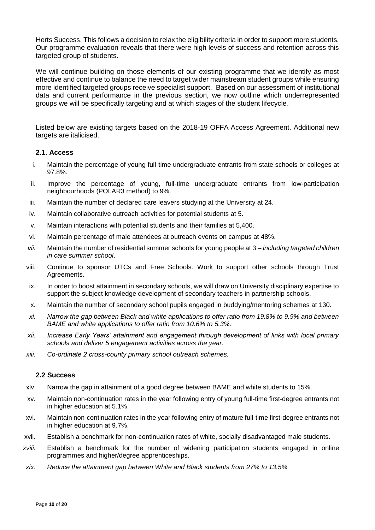Herts Success. This follows a decision to relax the eligibility criteria in order to support more students. Our programme evaluation reveals that there were high levels of success and retention across this targeted group of students.

We will continue building on those elements of our existing programme that we identify as most effective and continue to balance the need to target wider mainstream student groups while ensuring more identified targeted groups receive specialist support. Based on our assessment of institutional data and current performance in the previous section, we now outline which underrepresented groups we will be specifically targeting and at which stages of the student lifecycle.

Listed below are existing targets based on the 2018-19 OFFA Access Agreement. Additional new targets are italicised.

#### **2.1. Access**

- i. Maintain the percentage of young full-time undergraduate entrants from state schools or colleges at 97.8%.
- ii. Improve the percentage of young, full-time undergraduate entrants from low-participation neighbourhoods (POLAR3 method) to 9%.
- iii. Maintain the number of declared care leavers studying at the University at 24.
- iv. Maintain collaborative outreach activities for potential students at 5.
- v. Maintain interactions with potential students and their families at 5,400.
- vi. Maintain percentage of male attendees at outreach events on campus at 48%.
- *vii.* Maintain the number of residential summer schools for young people at 3 *– including targeted children in care summer school*.
- viii. Continue to sponsor UTCs and Free Schools. Work to support other schools through Trust Agreements.
- ix. In order to boost attainment in secondary schools, we will draw on University disciplinary expertise to support the subject knowledge development of secondary teachers in partnership schools.
- x. Maintain the number of secondary school pupils engaged in buddying/mentoring schemes at 130.
- *xi. Narrow the gap between Black and white applications to offer ratio from 19.8% to 9.9% and between BAME and white applications to offer ratio from 10.6% to 5.3%.*
- *xii. Increase Early Years' attainment and engagement through development of links with local primary schools and deliver 5 engagement activities across the year.*
- *xiii. Co-ordinate 2 cross-county primary school outreach schemes.*

#### **2.2 Success**

- xiv. Narrow the gap in attainment of a good degree between BAME and white students to 15%.
- xv. Maintain non-continuation rates in the year following entry of young full-time first-degree entrants not in higher education at 5.1%.
- xvi. Maintain non-continuation rates in the year following entry of mature full-time first-degree entrants not in higher education at 9.7%.
- xvii. Establish a benchmark for non-continuation rates of white, socially disadvantaged male students.
- *xviii.* Establish a benchmark for the number of widening participation students engaged in online programmes and higher/degree apprenticeships*.*
- *xix. Reduce the attainment gap between White and Black students from 27% to 13.5%*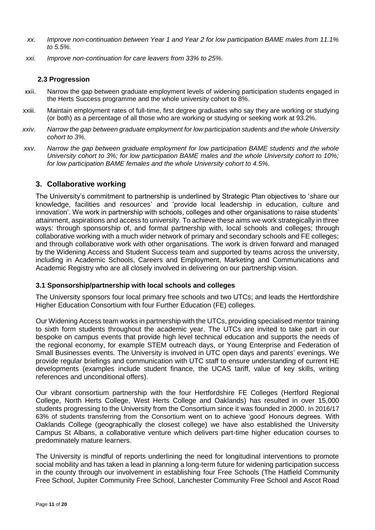- *xx. Improve non-continuation between Year 1 and Year 2 for low participation BAME males from 11.1% to 5.5%.*
- *xxi. Improve non-continuation for care leavers from 33% to 25%.*

#### **2.3 Progression**

- xxii. Narrow the gap between graduate employment levels of widening participation students engaged in the Herts Success programme and the whole university cohort to 8%.
- xxiii. Maintain employment rates of full-time, first degree graduates who say they are working or studying (or both) as a percentage of all those who are working or studying or seeking work at 93.2%.
- *xxiv. Narrow the gap between graduate employment for low participation students and the whole University cohort to 3%.*
- *xxv. Narrow the gap between graduate employment for low participation BAME students and the whole University cohort to 3%; for low participation BAME males and the whole University cohort to 10%; for low participation BAME females and the whole University cohort to 4.5%.*

# **3. Collaborative working**

The University's commitment to partnership is underlined by Strategic Plan objectives to 'share our knowledge, facilities and resources' and 'provide local leadership in education, culture and innovation'. We work in partnership with schools, colleges and other organisations to raise students' attainment, aspirations and access to university. To achieve these aims we work strategically in three ways: through sponsorship of, and formal partnership with, local schools and colleges; through collaborative working with a much wider network of primary and secondary schools and FE colleges; and through collaborative work with other organisations. The work is driven forward and managed by the Widening Access and Student Success team and supported by teams across the university, including in Academic Schools, Careers and Employment, Marketing and Communications and Academic Registry who are all closely involved in delivering on our partnership vision.

#### **3.1 Sponsorship/partnership with local schools and colleges**

The University sponsors four local primary free schools and two UTCs; and leads the Hertfordshire Higher Education Consortium with four Further Education (FE) colleges.

Our Widening Access team works in partnership with the UTCs, providing specialised mentor training to sixth form students throughout the academic year. The UTCs are invited to take part in our bespoke on campus events that provide high level technical education and supports the needs of the regional economy, for example STEM outreach days, or Young Enterprise and Federation of Small Businesses events. The University is involved in UTC open days and parents' evenings. We provide regular briefings and communication with UTC staff to ensure understanding of current HE developments (examples include student finance, the UCAS tariff, value of key skills, writing references and unconditional offers).

Our vibrant consortium partnership with the four Hertfordshire FE Colleges (Hertford Regional College, North Herts College, West Herts College and Oaklands) has resulted in over 15,000 students progressing to the University from the Consortium since it was founded in 2000. In 2016/17 63% of students transferring from the Consortium went on to achieve 'good' Honours degrees. With Oaklands College (geographically the closest college) we have also established the University Campus St Albans, a collaborative venture which delivers part-time higher education courses to predominately mature learners.

The University is mindful of reports underlining the need for longitudinal interventions to promote social mobility and has taken a lead in planning a long-term future for widening participation success in the county through our involvement in establishing four Free Schools (The Hatfield Community Free School, Jupiter Community Free School, Lanchester Community Free School and Ascot Road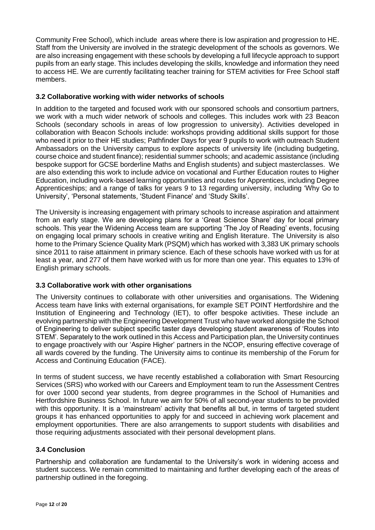Community Free School), which include areas where there is low aspiration and progression to HE. Staff from the University are involved in the strategic development of the schools as governors. We are also increasing engagement with these schools by developing a full lifecycle approach to support pupils from an early stage. This includes developing the skills, knowledge and information they need to access HE. We are currently facilitating teacher training for STEM activities for Free School staff members.

## **3.2 Collaborative working with wider networks of schools**

In addition to the targeted and focused work with our sponsored schools and consortium partners, we work with a much wider network of schools and colleges. This includes work with 23 Beacon Schools (secondary schools in areas of low progression to university). Activities developed in collaboration with Beacon Schools include: workshops providing additional skills support for those who need it prior to their HE studies; Pathfinder Days for year 9 pupils to work with outreach Student Ambassadors on the University campus to explore aspects of university life (including budgeting, course choice and student finance); residential summer schools; and academic assistance (including bespoke support for GCSE borderline Maths and English students) and subject masterclasses. We are also extending this work to include advice on vocational and Further Education routes to Higher Education, including work-based learning opportunities and routes for Apprentices, including Degree Apprenticeships; and a range of talks for years 9 to 13 regarding university, including 'Why Go to University', 'Personal statements, 'Student Finance' and 'Study Skills'.

The University is increasing engagement with primary schools to increase aspiration and attainment from an early stage. We are developing plans for a 'Great Science Share' day for local primary schools. This year the Widening Access team are supporting 'The Joy of Reading' events, focusing on engaging local primary schools in creative writing and English literature. The University is also home to the Primary Science Quality Mark (PSQM) which has worked with 3,383 UK primary schools since 2011 to raise attainment in primary science. Each of these schools have worked with us for at least a year, and 277 of them have worked with us for more than one year. This equates to 13% of English primary schools.

# **3.3 Collaborative work with other organisations**

The University continues to collaborate with other universities and organisations. The Widening Access team have links with external organisations, for example SET POINT Hertfordshire and the Institution of Engineering and Technology (IET), to offer bespoke activities. These include an evolving partnership with the Engineering Development Trust who have worked alongside the School of Engineering to deliver subject specific taster days developing student awareness of 'Routes into STEM'. Separately to the work outlined in this Access and Participation plan, the University continues to engage proactively with our 'Aspire Higher' partners in the NCOP, ensuring effective coverage of all wards covered by the funding. The University aims to continue its membership of the Forum for Access and Continuing Education (FACE).

In terms of student success, we have recently established a collaboration with Smart Resourcing Services (SRS) who worked with our Careers and Employment team to run the Assessment Centres for over 1000 second year students, from degree programmes in the School of Humanities and Hertfordshire Business School. In future we aim for 50% of all second-year students to be provided with this opportunity. It is a 'mainstream' activity that benefits all but, in terms of targeted student groups it has enhanced opportunities to apply for and succeed in achieving work placement and employment opportunities. There are also arrangements to support students with disabilities and those requiring adjustments associated with their personal development plans.

# **3.4 Conclusion**

Partnership and collaboration are fundamental to the University's work in widening access and student success. We remain committed to maintaining and further developing each of the areas of partnership outlined in the foregoing.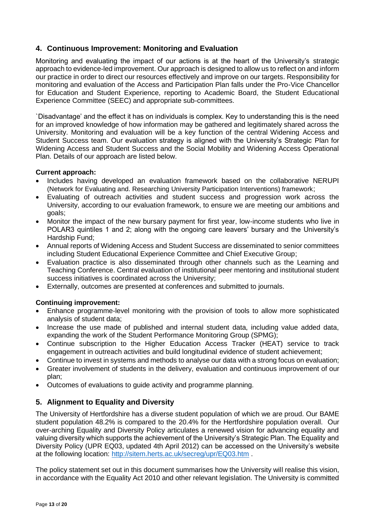# **4. Continuous Improvement: Monitoring and Evaluation**

Monitoring and evaluating the impact of our actions is at the heart of the University's strategic approach to evidence-led improvement. Our approach is designed to allow us to reflect on and inform our practice in order to direct our resources effectively and improve on our targets. Responsibility for monitoring and evaluation of the Access and Participation Plan falls under the Pro-Vice Chancellor for Education and Student Experience, reporting to Academic Board, the Student Educational Experience Committee (SEEC) and appropriate sub-committees.

`Disadvantage' and the effect it has on individuals is complex. Key to understanding this is the need for an improved knowledge of how information may be gathered and legitimately shared across the University. Monitoring and evaluation will be a key function of the central Widening Access and Student Success team. Our evaluation strategy is aligned with the University's Strategic Plan for Widening Access and Student Success and the Social Mobility and Widening Access Operational Plan. Details of our approach are listed below.

## **Current approach:**

- Includes having developed an evaluation framework based on the collaborative NERUPI (Network for Evaluating and. Researching University Participation Interventions) framework;
- Evaluating of outreach activities and student success and progression work across the University, according to our evaluation framework, to ensure we are meeting our ambitions and goals;
- Monitor the impact of the new bursary payment for first year, low-income students who live in POLAR3 quintiles 1 and 2; along with the ongoing care leavers' bursary and the University's Hardship Fund;
- Annual reports of Widening Access and Student Success are disseminated to senior committees including Student Educational Experience Committee and Chief Executive Group;
- Evaluation practice is also disseminated through other channels such as the Learning and Teaching Conference. Central evaluation of institutional peer mentoring and institutional student success initiatives is coordinated across the University;
- Externally, outcomes are presented at conferences and submitted to journals.

# **Continuing improvement:**

- Enhance programme-level monitoring with the provision of tools to allow more sophisticated analysis of student data;
- Increase the use made of published and internal student data, including value added data, expanding the work of the Student Performance Monitoring Group (SPMG);
- Continue subscription to the Higher Education Access Tracker (HEAT) service to track engagement in outreach activities and build longitudinal evidence of student achievement;
- Continue to invest in systems and methods to analyse our data with a strong focus on evaluation;
- Greater involvement of students in the delivery, evaluation and continuous improvement of our plan;
- Outcomes of evaluations to guide activity and programme planning.

# **5. Alignment to Equality and Diversity**

The University of Hertfordshire has a diverse student population of which we are proud. Our BAME student population 48.2% is compared to the 20.4% for the Hertfordshire population overall. Our over-arching Equality and Diversity Policy articulates a renewed vision for advancing equality and valuing diversity which supports the achievement of the University's Strategic Plan. The Equality and Diversity Policy (UPR EQ03, updated 4th April 2012) can be accessed on the University's website at the following location:<http://sitem.herts.ac.uk/secreg/upr/EQ03.htm> .

The policy statement set out in this document summarises how the University will realise this vision, in accordance with the Equality Act 2010 and other relevant legislation. The University is committed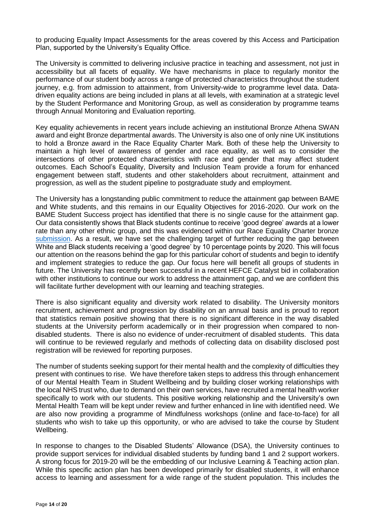to producing Equality Impact Assessments for the areas covered by this Access and Participation Plan, supported by the University's Equality Office.

The University is committed to delivering inclusive practice in teaching and assessment, not just in accessibility but all facets of equality. We have mechanisms in place to regularly monitor the performance of our student body across a range of protected characteristics throughout the student journey, e.g. from admission to attainment, from University-wide to programme level data. Datadriven equality actions are being included in plans at all levels, with examination at a strategic level by the Student Performance and Monitoring Group, as well as consideration by programme teams through Annual Monitoring and Evaluation reporting.

Key equality achievements in recent years include achieving an institutional Bronze Athena SWAN award and eight Bronze departmental awards. The University is also one of only nine UK institutions to hold a Bronze award in the Race Equality Charter Mark. Both of these help the University to maintain a high level of awareness of gender and race equality, as well as to consider the intersections of other protected characteristics with race and gender that may affect student outcomes. Each School's Equality, Diversity and Inclusion Team provide a forum for enhanced engagement between staff, students and other stakeholders about recruitment, attainment and progression, as well as the student pipeline to postgraduate study and employment.

The University has a longstanding public commitment to reduce the attainment gap between BAME and White students, and this remains in our Equality Objectives for 2016-2020. Our work on the BAME Student Success project has identified that there is no single cause for the attainment gap. Our data consistently shows that Black students continue to receive 'good degree' awards at a lower rate than any other ethnic group, and this was evidenced within our Race Equality Charter bronze [submission.](http://www.herts.ac.uk/about-us/equality-and-diversity/race-equality-charter-mark) As a result, we have set the challenging target of further reducing the gap between White and Black students receiving a 'good degree' by 10 percentage points by 2020. This will focus our attention on the reasons behind the gap for this particular cohort of students and begin to identify and implement strategies to reduce the gap. Our focus here will benefit all groups of students in future. The University has recently been successful in a recent HEFCE Catalyst bid in collaboration with other institutions to continue our work to address the attainment gap, and we are confident this will facilitate further development with our learning and teaching strategies.

There is also significant equality and diversity work related to disability. The University monitors recruitment, achievement and progression by disability on an annual basis and is proud to report that statistics remain positive showing that there is no significant difference in the way disabled students at the University perform academically or in their progression when compared to nondisabled students. There is also no evidence of under-recruitment of disabled students. This data will continue to be reviewed regularly and methods of collecting data on disability disclosed post registration will be reviewed for reporting purposes.

The number of students seeking support for their mental health and the complexity of difficulties they present with continues to rise. We have therefore taken steps to address this through enhancement of our Mental Health Team in Student Wellbeing and by building closer working relationships with the local NHS trust who, due to demand on their own services, have recruited a mental health worker specifically to work with our students. This positive working relationship and the University's own Mental Health Team will be kept under review and further enhanced in line with identified need. We are also now providing a programme of Mindfulness workshops (online and face-to-face) for all students who wish to take up this opportunity, or who are advised to take the course by Student Wellbeing.

In response to changes to the Disabled Students' Allowance (DSA), the University continues to provide support services for individual disabled students by funding band 1 and 2 support workers. A strong focus for 2019-20 will be the embedding of our Inclusive Learning & Teaching action plan. While this specific action plan has been developed primarily for disabled students, it will enhance access to learning and assessment for a wide range of the student population. This includes the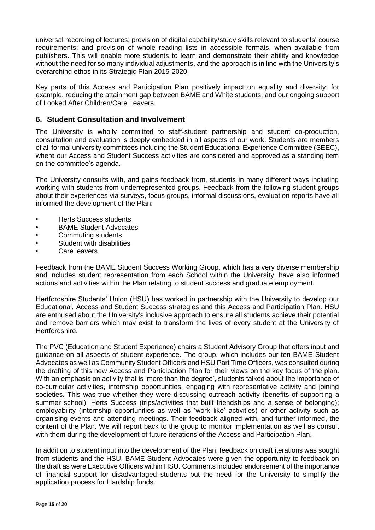universal recording of lectures; provision of digital capability/study skills relevant to students' course requirements; and provision of whole reading lists in accessible formats, when available from publishers. This will enable more students to learn and demonstrate their ability and knowledge without the need for so many individual adjustments, and the approach is in line with the University's overarching ethos in its Strategic Plan 2015-2020.

Key parts of this Access and Participation Plan positively impact on equality and diversity; for example, reducing the attainment gap between BAME and White students, and our ongoing support of Looked After Children/Care Leavers.

# **6. Student Consultation and Involvement**

The University is wholly committed to staff-student partnership and student co-production, consultation and evaluation is deeply embedded in all aspects of our work. Students are members of all formal university committees including the Student Educational Experience Committee (SEEC), where our Access and Student Success activities are considered and approved as a standing item on the committee's agenda.

The University consults with, and gains feedback from, students in many different ways including working with students from underrepresented groups. Feedback from the following student groups about their experiences via surveys, focus groups, informal discussions, evaluation reports have all informed the development of the Plan:

- Herts Success students
- BAME Student Advocates
- Commuting students
- Student with disabilities
- Care leavers

Feedback from the BAME Student Success Working Group, which has a very diverse membership and includes student representation from each School within the University, have also informed actions and activities within the Plan relating to student success and graduate employment.

Hertfordshire Students' Union (HSU) has worked in partnership with the University to develop our Educational, Access and Student Success strategies and this Access and Participation Plan. HSU are enthused about the University's inclusive approach to ensure all students achieve their potential and remove barriers which may exist to transform the lives of every student at the University of Hertfordshire.

The PVC (Education and Student Experience) chairs a Student Advisory Group that offers input and guidance on all aspects of student experience. The group, which includes our ten BAME Student Advocates as well as Community Student Officers and HSU Part Time Officers, was consulted during the drafting of this new Access and Participation Plan for their views on the key focus of the plan. With an emphasis on activity that is 'more than the degree', students talked about the importance of co-curricular activities, internship opportunities, engaging with representative activity and joining societies. This was true whether they were discussing outreach activity (benefits of supporting a summer school); Herts Success (trips/activities that built friendships and a sense of belonging); employability (internship opportunities as well as 'work like' activities) or other activity such as organising events and attending meetings. Their feedback aligned with, and further informed, the content of the Plan. We will report back to the group to monitor implementation as well as consult with them during the development of future iterations of the Access and Participation Plan.

In addition to student input into the development of the Plan, feedback on draft iterations was sought from students and the HSU. BAME Student Advocates were given the opportunity to feedback on the draft as were Executive Officers within HSU. Comments included endorsement of the importance of financial support for disadvantaged students but the need for the University to simplify the application process for Hardship funds.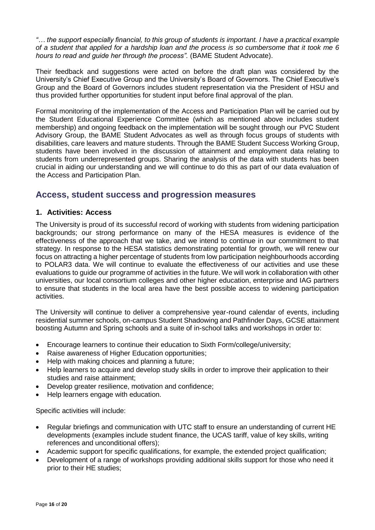*"… the support especially financial, to this group of students is important. I have a practical example of a student that applied for a hardship loan and the process is so cumbersome that it took me 6 hours to read and guide her through the process".* (BAME Student Advocate).

Their feedback and suggestions were acted on before the draft plan was considered by the University's Chief Executive Group and the University's Board of Governors. The Chief Executive's Group and the Board of Governors includes student representation via the President of HSU and thus provided further opportunities for student input before final approval of the plan.

Formal monitoring of the implementation of the Access and Participation Plan will be carried out by the Student Educational Experience Committee (which as mentioned above includes student membership) and ongoing feedback on the implementation will be sought through our PVC Student Advisory Group, the BAME Student Advocates as well as through focus groups of students with disabilities, care leavers and mature students. Through the BAME Student Success Working Group, students have been involved in the discussion of attainment and employment data relating to students from underrepresented groups. Sharing the analysis of the data with students has been crucial in aiding our understanding and we will continue to do this as part of our data evaluation of the Access and Participation Plan.

# **Access, student success and progression measures**

## **1. Activities: Access**

The University is proud of its successful record of working with students from widening participation backgrounds; our strong performance on many of the HESA measures is evidence of the effectiveness of the approach that we take, and we intend to continue in our commitment to that strategy. In response to the HESA statistics demonstrating potential for growth, we will renew our focus on attracting a higher percentage of students from low participation neighbourhoods according to POLAR3 data. We will continue to evaluate the effectiveness of our activities and use these evaluations to guide our programme of activities in the future. We will work in collaboration with other universities, our local consortium colleges and other higher education, enterprise and IAG partners to ensure that students in the local area have the best possible access to widening participation activities.

The University will continue to deliver a comprehensive year-round calendar of events, including residential summer schools, on-campus Student Shadowing and Pathfinder Days, GCSE attainment boosting Autumn and Spring schools and a suite of in-school talks and workshops in order to:

- Encourage learners to continue their education to Sixth Form/college/university;
- Raise awareness of Higher Education opportunities;
- Help with making choices and planning a future;
- Help learners to acquire and develop study skills in order to improve their application to their studies and raise attainment;
- Develop greater resilience, motivation and confidence;
- Help learners engage with education.

Specific activities will include:

- Regular briefings and communication with UTC staff to ensure an understanding of current HE developments (examples include student finance, the UCAS tariff, value of key skills, writing references and unconditional offers);
- Academic support for specific qualifications, for example, the extended project qualification;
- Development of a range of workshops providing additional skills support for those who need it prior to their HE studies;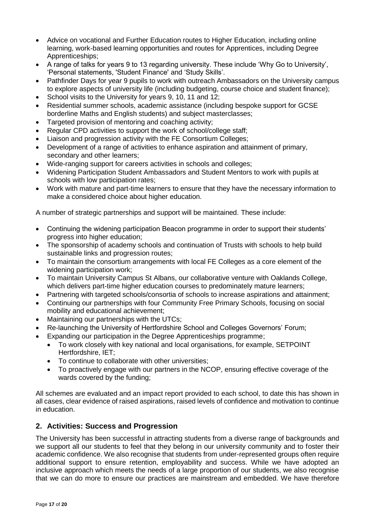- Advice on vocational and Further Education routes to Higher Education, including online learning, work-based learning opportunities and routes for Apprentices, including Degree Apprenticeships;
- A range of talks for years 9 to 13 regarding university. These include 'Why Go to University', 'Personal statements, 'Student Finance' and 'Study Skills'.
- Pathfinder Days for year 9 pupils to work with outreach Ambassadors on the University campus to explore aspects of university life (including budgeting, course choice and student finance);
- School visits to the University for years 9, 10, 11 and 12;
- Residential summer schools, academic assistance (including bespoke support for GCSE borderline Maths and English students) and subject masterclasses;
- Targeted provision of mentoring and coaching activity;
- Regular CPD activities to support the work of school/college staff:
- Liaison and progression activity with the FE Consortium Colleges:
- Development of a range of activities to enhance aspiration and attainment of primary, secondary and other learners;
- Wide-ranging support for careers activities in schools and colleges;
- Widening Participation Student Ambassadors and Student Mentors to work with pupils at schools with low participation rates;
- Work with mature and part-time learners to ensure that they have the necessary information to make a considered choice about higher education.

A number of strategic partnerships and support will be maintained. These include:

- Continuing the widening participation Beacon programme in order to support their students' progress into higher education;
- The sponsorship of academy schools and continuation of Trusts with schools to help build sustainable links and progression routes;
- To maintain the consortium arrangements with local FE Colleges as a core element of the widening participation work;
- To maintain University Campus St Albans, our collaborative venture with Oaklands College, which delivers part-time higher education courses to predominately mature learners;
- Partnering with targeted schools/consortia of schools to increase aspirations and attainment;
- Continuing our partnerships with four Community Free Primary Schools, focusing on social mobility and educational achievement;
- Maintaining our partnerships with the UTCs;
- Re-launching the University of Hertfordshire School and Colleges Governors' Forum;
- Expanding our participation in the Degree Apprenticeships programme;
	- To work closely with key national and local organisations, for example, SETPOINT Hertfordshire, IET;
	- To continue to collaborate with other universities;
	- To proactively engage with our partners in the NCOP, ensuring effective coverage of the wards covered by the funding;

All schemes are evaluated and an impact report provided to each school, to date this has shown in all cases, clear evidence of raised aspirations, raised levels of confidence and motivation to continue in education.

# **2. Activities: Success and Progression**

The University has been successful in attracting students from a diverse range of backgrounds and we support all our students to feel that they belong in our university community and to foster their academic confidence. We also recognise that students from under-represented groups often require additional support to ensure retention, employability and success. While we have adopted an inclusive approach which meets the needs of a large proportion of our students, we also recognise that we can do more to ensure our practices are mainstream and embedded. We have therefore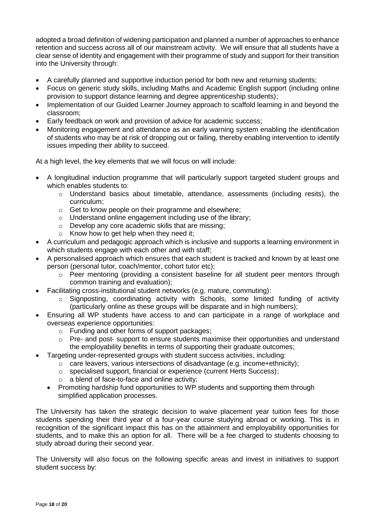adopted a broad definition of widening participation and planned a number of approaches to enhance retention and success across all of our mainstream activity. We will ensure that all students have a clear sense of identity and engagement with their programme of study and support for their transition into the University through:

- A carefully planned and supportive induction period for both new and returning students;
- Focus on generic study skills, including Maths and Academic English support (including online provision to support distance learning and degree apprenticeship students);
- Implementation of our Guided Learner Journey approach to scaffold learning in and beyond the classroom;
- Early feedback on work and provision of advice for academic success;
- Monitoring engagement and attendance as an early warning system enabling the identification of students who may be at risk of dropping out or failing, thereby enabling intervention to identify issues impeding their ability to succeed.

At a high level, the key elements that we will focus on will include:

- A longitudinal induction programme that will particularly support targeted student groups and which enables students to:
	- $\circ$  Understand basics about timetable, attendance, assessments (including resits), the curriculum;
	- o Get to know people on their programme and elsewhere;
	- o Understand online engagement including use of the library;
	- o Develop any core academic skills that are missing;
	- o Know how to get help when they need it;
- A curriculum and pedagogic approach which is inclusive and supports a learning environment in which students engage with each other and with staff;
- A personalised approach which ensures that each student is tracked and known by at least one person (personal tutor, coach/mentor, cohort tutor etc);
	- o Peer mentoring (providing a consistent baseline for all student peer mentors through common training and evaluation);
- Facilitating cross-institutional student networks (e.g. mature, commuting):
	- $\circ$  Signposting, coordinating activity with Schools, some limited funding of activity (particularly online as these groups will be disparate and in high numbers);
- Ensuring all WP students have access to and can participate in a range of workplace and overseas experience opportunities:
	- o Funding and other forms of support packages;
	- $\circ$  Pre- and post- support to ensure students maximise their opportunities and understand the employability benefits in terms of supporting their graduate outcomes;
- Targeting under-represented groups with student success activities, including:
	- $\circ$  care leavers, various intersections of disadvantage (e.g. income+ethnicity);
	- o specialised support, financial or experience (current Herts Success);
	- o a blend of face-to-face and online activity;
	- Promoting hardship fund opportunities to WP students and supporting them through simplified application processes.

The University has taken the strategic decision to waive placement year tuition fees for those students spending their third year of a four-year course studying abroad or working. This is in recognition of the significant impact this has on the attainment and employability opportunities for students, and to make this an option for all. There will be a fee charged to students choosing to study abroad during their second year.

The University will also focus on the following specific areas and invest in initiatives to support student success by: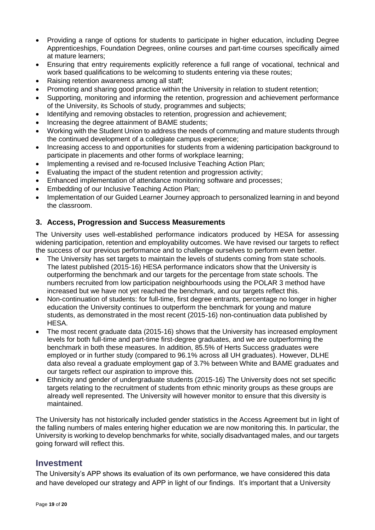- Providing a range of options for students to participate in higher education, including Degree Apprenticeships, Foundation Degrees, online courses and part-time courses specifically aimed at mature learners;
- Ensuring that entry requirements explicitly reference a full range of vocational, technical and work based qualifications to be welcoming to students entering via these routes;
- Raising retention awareness among all staff;
- Promoting and sharing good practice within the University in relation to student retention;
- Supporting, monitoring and informing the retention, progression and achievement performance of the University, its Schools of study, programmes and subjects;
- Identifying and removing obstacles to retention, progression and achievement;
- Increasing the degree attainment of BAME students;
- Working with the Student Union to address the needs of commuting and mature students through the continued development of a collegiate campus experience;
- Increasing access to and opportunities for students from a widening participation background to participate in placements and other forms of workplace learning;
- Implementing a revised and re-focused Inclusive Teaching Action Plan;
- Evaluating the impact of the student retention and progression activity;
- Enhanced implementation of attendance monitoring software and processes;
- Embedding of our Inclusive Teaching Action Plan;
- Implementation of our Guided Learner Journey approach to personalized learning in and beyond the classroom.

# **3. Access, Progression and Success Measurements**

The University uses well-established performance indicators produced by HESA for assessing widening participation, retention and employability outcomes. We have revised our targets to reflect the success of our previous performance and to challenge ourselves to perform even better.

- The University has set targets to maintain the levels of students coming from state schools. The latest published (2015-16) HESA performance indicators show that the University is outperforming the benchmark and our targets for the percentage from state schools. The numbers recruited from low participation neighbourhoods using the POLAR 3 method have increased but we have not yet reached the benchmark, and our targets reflect this.
- Non-continuation of students: for full-time, first degree entrants, percentage no longer in higher education the University continues to outperform the benchmark for young and mature students, as demonstrated in the most recent (2015-16) non-continuation data published by HESA.
- The most recent graduate data (2015-16) shows that the University has increased employment levels for both full-time and part-time first-degree graduates, and we are outperforming the benchmark in both these measures. In addition, 85.5% of Herts Success graduates were employed or in further study (compared to 96.1% across all UH graduates). However, DLHE data also reveal a graduate employment gap of 3.7% between White and BAME graduates and our targets reflect our aspiration to improve this.
- Ethnicity and gender of undergraduate students (2015-16) The University does not set specific targets relating to the recruitment of students from ethnic minority groups as these groups are already well represented. The University will however monitor to ensure that this diversity is maintained.

The University has not historically included gender statistics in the Access Agreement but in light of the falling numbers of males entering higher education we are now monitoring this. In particular, the University is working to develop benchmarks for white, socially disadvantaged males, and our targets going forward will reflect this.

# **Investment**

The University's APP shows its evaluation of its own performance, we have considered this data and have developed our strategy and APP in light of our findings. It's important that a University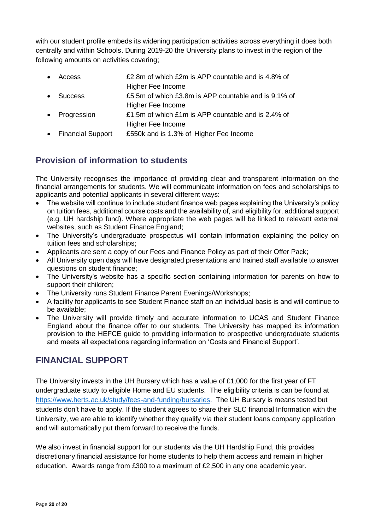with our student profile embeds its widening participation activities across everything it does both centrally and within Schools. During 2019-20 the University plans to invest in the region of the following amounts on activities covering;

- Access £2.8m of which £2m is APP countable and is 4.8% of Higher Fee Income
- Success £5.5m of which £3.8m is APP countable and is 9.1% of Higher Fee Income
- Progression E1.5m of which £1m is APP countable and is 2.4% of Higher Fee Income
- Financial Support £550k and is 1.3% of Higher Fee Income

# **Provision of information to students**

The University recognises the importance of providing clear and transparent information on the financial arrangements for students. We will communicate information on fees and scholarships to applicants and potential applicants in several different ways:

- The website will continue to include student finance web pages explaining the University's policy on tuition fees, additional course costs and the availability of, and eligibility for, additional support (e.g. UH hardship fund). Where appropriate the web pages will be linked to relevant external websites, such as Student Finance England;
- The University's undergraduate prospectus will contain information explaining the policy on tuition fees and scholarships;
- Applicants are sent a copy of our Fees and Finance Policy as part of their Offer Pack;
- All University open days will have designated presentations and trained staff available to answer questions on student finance;
- The University's website has a specific section containing information for parents on how to support their children;
- The University runs Student Finance Parent Evenings/Workshops;
- A facility for applicants to see Student Finance staff on an individual basis is and will continue to be available;
- The University will provide timely and accurate information to UCAS and Student Finance England about the finance offer to our students. The University has mapped its information provision to the HEFCE guide to providing information to prospective undergraduate students and meets all expectations regarding information on 'Costs and Financial Support'.

# **FINANCIAL SUPPORT**

The University invests in the UH Bursary which has a value of £1,000 for the first year of FT undergraduate study to eligible Home and EU students. The eligibility criteria is can be found at [https://www.herts.ac.uk/study/fees-and-funding/bursaries.](https://www.herts.ac.uk/study/fees-and-funding/bursaries) The UH Bursary is means tested but students don't have to apply. If the student agrees to share their SLC financial Information with the University, we are able to identify whether they qualify via their student loans company application and will automatically put them forward to receive the funds.

We also invest in financial support for our students via the UH Hardship Fund, this provides discretionary financial assistance for home students to help them access and remain in higher education. Awards range from £300 to a maximum of £2,500 in any one academic year.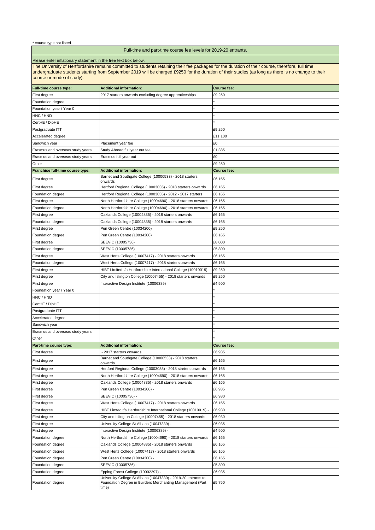| <b>Full-time course type:</b>           | <b>Additional information:</b>                                                                                                       | <b>Course fee:</b> |
|-----------------------------------------|--------------------------------------------------------------------------------------------------------------------------------------|--------------------|
| First degree                            | 2017 starters onwards excluding degree apprenticeships                                                                               | £9,250             |
| Foundation degree                       |                                                                                                                                      |                    |
| Foundation year / Year 0                |                                                                                                                                      |                    |
| HNC / HND                               |                                                                                                                                      |                    |
| CertHE / DipHE                          |                                                                                                                                      |                    |
| Postgraduate ITT                        |                                                                                                                                      | £9,250             |
| Accelerated degree                      |                                                                                                                                      | £11,100            |
| Sandwich year                           | Placement year fee                                                                                                                   | £0                 |
| Erasmus and overseas study years        | Study Abroad full year out fee                                                                                                       | £1,385             |
| Erasmus and overseas study years        | Erasmus full year out                                                                                                                | £0                 |
| Other                                   |                                                                                                                                      | £9,250             |
| <b>Franchise full-time course type:</b> | Additional information:                                                                                                              | <b>Course fee:</b> |
| First degree                            | Barnet and Southgate College (10000533) - 2018 starters                                                                              | £6,165             |
|                                         | <b>l</b> onwards                                                                                                                     |                    |
| First degree                            | Hertford Regional College (10003035) - 2018 starters onwards                                                                         | £6,165             |
| Foundation degree                       | Hertford Regional College (10003035) - 2012 - 2017 starters                                                                          | £6,165             |
| First degree                            | North Hertfordshire College (10004690) - 2018 starters onwards                                                                       | £6,165             |
| Foundation degree                       | North Hertfordshire College (10004690) - 2018 starters onwards                                                                       | £6,165             |
| First degree                            | Oaklands College (10004835) - 2018 starters onwards                                                                                  | £6,165             |
| Foundation degree                       | Oaklands College (10004835) - 2018 starters onwards                                                                                  | £6,165             |
| First degree                            | Pen Green Centre (10034200)                                                                                                          | £9,250             |
| Foundation degree                       | Pen Green Centre (10034200)                                                                                                          | £6,165             |
| First degree                            | SEEVIC (10005736)                                                                                                                    | £8,000             |
| Foundation degree                       | SEEVIC (10005736)                                                                                                                    | £5,800             |
| <b>First degree</b>                     | West Herts College (10007417) - 2018 starters onwards                                                                                | £6,165             |
| Foundation degree                       | West Herts College (10007417) - 2018 starters onwards                                                                                | £6,165             |
| First degree                            | HIBT Limited t/a Hertfordshire International College (10010019)                                                                      | £9,250             |
| First degree                            | City and Islington College (10007455) - 2018 starters onwards                                                                        | £9,250             |
| First degree                            | Interactive Design Institute (10006389)                                                                                              | £4,500             |
| Foundation year / Year 0                |                                                                                                                                      |                    |
| HNC / HND                               |                                                                                                                                      |                    |
| CertHE / DipHE                          |                                                                                                                                      |                    |
| Postgraduate ITT                        |                                                                                                                                      |                    |
| Accelerated degree                      |                                                                                                                                      |                    |
| Sandwich year                           |                                                                                                                                      |                    |
| Erasmus and overseas study years        |                                                                                                                                      |                    |
| <b>Other</b>                            |                                                                                                                                      |                    |
| <b>Part-time course type:</b>           | <b>Additional information:</b>                                                                                                       | <b>Course fee:</b> |
| First degree                            | - 2017 starters onwards                                                                                                              | £6,935             |
| First degree                            | Barnet and Southgate College (10000533) - 2018 starters<br>onwards                                                                   | £6,165             |
| First degree                            | Hertford Regional College (10003035) - 2018 starters onwards                                                                         | £6,165             |
| First degree                            | North Hertfordshire College (10004690) - 2018 starters onwards                                                                       | £6,165             |
| <b>First degree</b>                     | Oaklands College (10004835) - 2018 starters onwards                                                                                  | £6,165             |
| First degree                            | Pen Green Centre (10034200) -                                                                                                        | £6,935             |
| First degree                            | SEEVIC (10005736) -                                                                                                                  | £6,930             |
| First degree                            | West Herts College (10007417) - 2018 starters onwards                                                                                | £6,165             |
| First degree                            | HIBT Limted t/a Hertfordshire International College (10010019) -                                                                     | £6,930             |
| First degree                            | City and Islington College (10007455) - 2018 starters onwards                                                                        | £6,930             |
| First degree                            | University College St Albans (10047339) -                                                                                            | £6,935             |
|                                         | Interactive Design Institute (10006389) -                                                                                            |                    |
| <b>First degree</b>                     | North Hertfordshire College (10004690) - 2018 starters onwards                                                                       | £4,500             |
| Foundation degree                       |                                                                                                                                      | £6,165             |
| Foundation degree                       | Oaklands College (10004835) - 2018 starters onwards                                                                                  | £6,165             |
| Foundation degree                       | West Herts College (10007417) - 2018 starters onwards                                                                                | £6,165             |
| Foundation degree                       | Pen Green Centre (10034200) -                                                                                                        | £6,165             |
| Foundation degree                       | SEEVIC (10005736) -                                                                                                                  | £5,800             |
| Foundation degree                       | Epping Forest College (10002297) -                                                                                                   | £6,935             |
| Foundation degree                       | University College St Albans (10047339) - 2019-20 entrants to<br>Foundation Degree in Builders Merchanting Management (Part<br>time) | £5,750             |

The University of Hertfordshire remains committed to students retaining their fee packages for the duration of their course, therefore, full time undergraduate students starting from September 2019 will be charged £9250 for the duration of their studies (as long as there is no change to their course or mode of study).

# Full-time and part-time course fee levels for 2019-20 entrants.

Please enter inflationary statement in the free text box below.

\* course type not listed.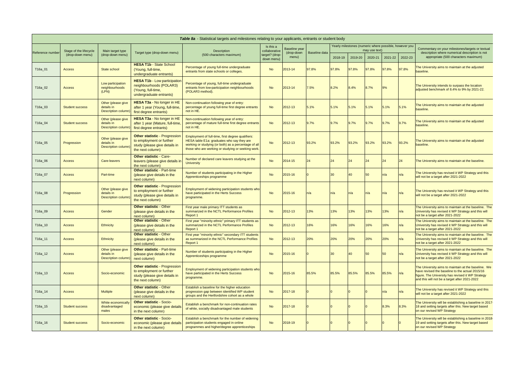|                 | Table 8a - Statistical targets and milestones relating to your applicants, entrants or student body |                                                               |                                                                                                                       |                                                                                                                                                                                                               |                            |                             |               |         |                                                        |                                      |       |       |                                                                                                                                                                                                              |
|-----------------|-----------------------------------------------------------------------------------------------------|---------------------------------------------------------------|-----------------------------------------------------------------------------------------------------------------------|---------------------------------------------------------------------------------------------------------------------------------------------------------------------------------------------------------------|----------------------------|-----------------------------|---------------|---------|--------------------------------------------------------|--------------------------------------|-------|-------|--------------------------------------------------------------------------------------------------------------------------------------------------------------------------------------------------------------|
| Reference numbe | Stage of the lifecycle                                                                              | Main target type                                              |                                                                                                                       | Description                                                                                                                                                                                                   | Is this a<br>collaborative | Baseline year<br>(drop-down | Baseline data |         | Yearly milestones (numeric where possible, however you | may use text)                        |       |       | Commentary on your milestones/targets or textual<br>description where numerical description is not                                                                                                           |
|                 | (drop-down menu)                                                                                    | (drop-down menu)                                              | Target type (drop-down menu)<br>(500 characters maximum)<br>target? (drop-<br>menu)<br>down menu)                     |                                                                                                                                                                                                               |                            | 2018-19   2019-20           | 2020-21       | 2021-22 | 2022-23                                                | appropriate (500 characters maximum) |       |       |                                                                                                                                                                                                              |
| T16a_01         | <b>Access</b>                                                                                       | State school                                                  | <b>HESA T1b - State School</b><br>(Young, full-time,<br>undergraduate entrants)                                       | Percentage of young full-time undergraduate<br>entrants from state schools or colleges.                                                                                                                       | <b>No</b>                  | 2013-14                     | 97.8%         | 97.8%   | 97.8%                                                  | 97.8%                                | 97.8% | 97.8% | The University aims to maintain at the adjusted<br>baseline.                                                                                                                                                 |
| T16a_02         | <b>Access</b>                                                                                       | Low participation<br>neighbourhoods<br>(LPN)                  | <b>HESA T1b - Low participation</b><br>neighbourhoods (POLAR3)<br>(Young, full-time,<br>undergraduate entrants)       | Percentage of young, full-time undergraduate<br>entrants from low-participation neighbourhoods<br>(POLAR3 method).                                                                                            | <b>No</b>                  | $2013 - 14$                 | 7.5%          | 8.2%    | 8.4%                                                   | 8.7%                                 | 9%    |       | The University intends to surpass the location<br>adjusted benchmark of 8.4% to 9% by 2021-22.                                                                                                               |
| T16a_03         | <b>Student success</b>                                                                              | Other (please give<br>details in<br>Description column)       | HESA T3a - No longer in HE<br>after 1 year (Young, full-time,<br>first degree entrants)                               | Non-continuation following year of entry:<br>percentage of young full-time first degree entrants<br>not in HE.                                                                                                | <b>No</b>                  | $2012 - 13$                 | 5.1%          | 5.1%    | 5.1%                                                   | 5.1%                                 | 5.1%  | 5.1%  | The University aims to maintain at the adjusted<br>baseline.                                                                                                                                                 |
| T16a_04         | <b>Student success</b>                                                                              | Other (please give<br>details in<br>Description column)       | <b>HESA T3a - No longer in HE</b><br>after 1 year (Mature, full-time,<br>first degree entrants)                       | Non-continuation following year of entry:<br>percentage of mature full-time first degree entrants<br>not in HE.                                                                                               | <b>No</b>                  | $2012 - 13$                 | 9.7%          | 9.7%    | 9.7%                                                   | 9.7%                                 | 9.7%  | 9.7%  | The University aims to maintain at the adjusted<br>baseline.                                                                                                                                                 |
| T16a_05         | Progression                                                                                         | Other (please give<br>details in<br><b>Description column</b> | <b>Other statistic - Progression</b><br>to employment or further<br>study (please give details in<br>the next column) | Employment of full-time, first degree qualifiers:<br>HESA table E1a: graduates who say they are<br>working or studying (or both) as a percentage of all<br>those who are working or studying or seeking work. | <b>No</b>                  | $2012 - 13$                 | 93.2%         | 93.2%   | 93.2%                                                  | 93.2%                                | 93.2% | 93.2% | The University aims to maintain at the adjusted<br>baseline.                                                                                                                                                 |
| T16a_06         | <b>Access</b>                                                                                       | <b>Care-leavers</b>                                           | <b>Other statistic - Care-</b><br>leavers (please give details in<br>the next column)                                 | Number of declared care leavers studying at the<br><b>University</b>                                                                                                                                          | <b>No</b>                  | $2014 - 15$                 | 24            |         | 24                                                     |                                      |       | 24    | The University aims to maintain at the baseline.                                                                                                                                                             |
| T16a_07         | <b>Access</b>                                                                                       | Part-time                                                     | <b>Other statistic - Part-time</b><br>(please give details in the<br>next column)                                     | Number of students participating in the Higher<br>Apprenticeships programme                                                                                                                                   | <b>No</b>                  | $2015 - 16$                 |               | I30 I   | 40                                                     | 50 <sup>°</sup>                      | n/a   | n/a   | The University has revised it WP Strategy and this<br>will not be a target after 2021-2022                                                                                                                   |
| T16a_08         | Progression                                                                                         | Other (please give<br>details in<br>Description column)       | <b>Other statistic - Progression</b><br>to employment or further<br>study (please give details in<br>the next column) | Employment of widening participation students who<br>have participated in the Herts Success<br>programme.                                                                                                     | <b>No</b>                  | 2015-16                     | n/a           | ln/a    | ln/a                                                   | n/a                                  |       | n/a   | The University has revised it WP Strategy and this<br>will not be a target after 2021-2022                                                                                                                   |
| T16a_09         | <b>Access</b>                                                                                       | Gender                                                        | <b>Other statistic - Other</b><br>(please give details in the<br>next column)                                         | First year male primary ITT students as<br>summarized in the NCTL Performance Profiles<br>Report 1                                                                                                            | <b>No</b>                  | $2012 - 13$                 | 13%           | 13%     | 13%                                                    | 13%                                  | 13%   | n/a   | The University aims to maintain at the baseline. The<br>University has revised it WP Strategy and this will<br>not be a target after 2021-2022                                                               |
| T16a_10         | <b>Access</b>                                                                                       | Ethnicity                                                     | <b>Other statistic - Other</b><br>(please give details in the<br>next column)                                         | First year "minority ethnic" primary ITT students as<br>summarized in the NCTL Performance Profiles<br>Report 1                                                                                               | <b>No</b>                  | $2012 - 13$                 | 16%           | 16%     | 16%                                                    | 16%                                  | 16%   | n/a   | The University aims to maintain at the baseline. The<br>University has revised it WP Strategy and this will<br>not be a target after 2021-2022                                                               |
| T16a_11         | <b>Access</b>                                                                                       | Ethnicity                                                     | <b>Other statistic - Other</b><br>(please give details in the<br>next column)                                         | First year "minority ethnic" secondary ITT students<br>as summarized in the NCTL Performance Profiles<br>Report 1                                                                                             | <b>No</b>                  | $2012 - 13$                 | 20%           | 20%     | 20%                                                    | 20%                                  | 20%   | n/a   | The University aims to maintain at the baseline. The<br>University has revised it WP Strategy and this will<br>not be a target after 2021-2022                                                               |
| T16a_12         | <b>Access</b>                                                                                       | Other (please give<br>details in<br>Description column)       | <b>Other statistic - Part-time</b><br>(please give details in the<br>next column)                                     | Number of students participating in the Higher<br>Apprenticeships programme                                                                                                                                   | <b>No</b>                  | 2015-16                     |               |         | 40                                                     | 50                                   |       | n/a   | The University aims to maintain at the baseline. The<br>University has revised it WP Strategy and this will<br>not be a target after 2021-2022                                                               |
| T16a_13         | <b>Access</b>                                                                                       | Socio-economic                                                | <b>Other statistic - Progression</b><br>to employment or further<br>study (please give details in<br>the next column) | Employment of widening participation students who<br>have participated in the Herts Success<br>programme.                                                                                                     | <b>No</b>                  | $2015 - 16$                 | 85.5%         | 85.5%   | 85.5%                                                  | 85.5%                                | 85.5% | n/a   | The University aims to maintain at the baseline. We<br>have revised the baseline to the actual 2015/16<br>figure. The University has revised it WP Strategy<br>and this will not be a target after 2021-2022 |
| T16a_14         | <b>Access</b>                                                                                       | <b>Multiple</b>                                               | <b>Other statistic - Other</b><br>(please give details in the<br>next column)                                         | Establish a baseline for the higher education<br>progression gap between identified WP student<br>groups and the Hertfordshire cohort as a whole                                                              | <b>No</b>                  | 2017-18                     |               |         |                                                        |                                      | ı/a   | n/a   | The University has revised it WP Strategy and this<br>will not be a target after 2021-2022                                                                                                                   |
| T16a_15         | <b>Student success</b>                                                                              | White economical<br>disadvantaged<br>males                    | <b>Other statistic - Socio-</b><br>economic (please give detail<br>in the next column)                                | Establish a benchmark for non-continuation rates<br>of white, socially disadvantaged male students                                                                                                            | <b>No</b>                  | 2017-18                     |               |         |                                                        |                                      | 8.3%  | 8.3%  | The University will be establishing a baseline in 2017-<br>18 and setting targets after this. New target based<br>on our revised WP Strategy                                                                 |
| T16a_16         | <b>Student success</b>                                                                              | Socio-economic                                                | <b>Other statistic - Socio-</b><br>economic (please give details<br>in the next column)                               | Establish a benchmark for the number of widening<br>participation students engaged in online<br>programmes and higher/degree apprenticeships                                                                  | <b>No</b>                  | 2018-19                     |               |         |                                                        |                                      |       |       | The University will be establishing a baseline in 2018-<br>19 and setting targets after this. New target based<br>on our revised WP Strategy                                                                 |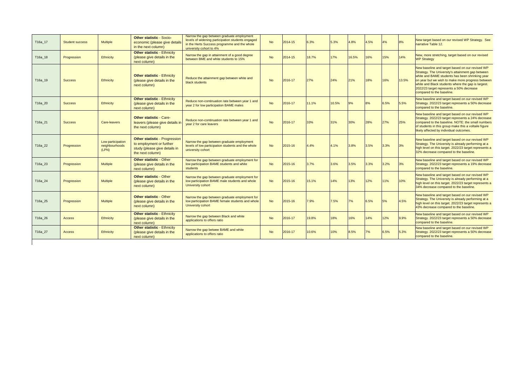| T16a_17   | <b>Student success</b> | <b>Multiple</b>                              | <b>Other statistic - Socio-</b><br>economic (please give details<br>in the next column)                               | Narrow the gap between graduate employment<br>levels of widening participation students engaged<br>in the Herts Success programme and the whole<br>university cohort to 4% | <b>No</b>      | 2014-15 | 6.3%  | 5.3%  | 4.8%  | 4.5% | 4%    | 8%    | New target based on our revised WP Strategy. See<br>narrative Table 12.                                                                                                                                                                                                                                                                     |
|-----------|------------------------|----------------------------------------------|-----------------------------------------------------------------------------------------------------------------------|----------------------------------------------------------------------------------------------------------------------------------------------------------------------------|----------------|---------|-------|-------|-------|------|-------|-------|---------------------------------------------------------------------------------------------------------------------------------------------------------------------------------------------------------------------------------------------------------------------------------------------------------------------------------------------|
| $T16a_18$ | Progression            | <b>Ethnicity</b>                             | <b>Other statistic - Ethnicity</b><br>(please give details in the<br>next column)                                     | Narrow the gap in attainment of a good degree<br>between BME and white students to 15%                                                                                     | No             | 2014-15 | 18.7% | 17%   | 16.5% | 16%  | 15%   | 14%   | New, more stretching, target based on our revised<br><b>WP Strategy</b>                                                                                                                                                                                                                                                                     |
| T16a_19   | <b>Success</b>         | <b>Ethnicity</b>                             | <b>Other statistic - Ethnicity</b><br>(please give details in the<br>next column)                                     | Reduce the attainment gap between white and<br>black students                                                                                                              | <b>No</b>      | 2016-17 | 27%   | 24%   | 21%   | 18%  | 16%   | 13.5% | New baseline and target based on our revised WP<br>Strategy. The University's attainment gap between<br>white and BAME students has been shrinking year<br>on year but we wish to make more progress between<br>white and Black students where the gap is largest.<br>2022/23 target represents a 50% decrease<br>compared to the baseline. |
| T16a_20   | <b>Success</b>         | <b>Ethnicity</b>                             | <b>Other statistic - Ethnicity</b><br>(please give details in the<br>next column)                                     | Reduce non-continuation rate between year 1 and<br>year 2 for low participation BAME males                                                                                 | <b>No</b>      | 2016-17 | 11.1% | 10.5% | 9%    | 8%   | 6.5%  | 5.5%  | New baseline and target based on our revised WP<br>Strategy. 2022/23 target represents a 50% decrease<br>compared to the baseline.                                                                                                                                                                                                          |
| T16a_21   | <b>Success</b>         | <b>Care-leavers</b>                          | <b>Other statistic - Care-</b><br>leavers (please give details in<br>the next column)                                 | Reduce non-continuation rate between year 1 and<br>year 2 for care leavers                                                                                                 | <b>No</b>      | 2016-17 | 33%   | 31%   | 30%   | 28%  | 27%   | 25%   | New baseline and target based on our revised WP<br>Strategy. 2022/23 target represents a 24% decrease<br>compared to the baseline. NOTE: the small numbers<br>of students in this group make this a voltaile figure<br>likely affected by individual outcomes.                                                                              |
| T16a_22   | Progression            | Low participation<br>neighbourhoods<br>(LPN) | <b>Other statistic - Progression</b><br>to employment or further<br>study (please give details in<br>the next column) | Narrow the gap between graduate employment<br>levels of low participation students and the whole<br>university cohort                                                      | <b>No</b>      | 2015-16 | 4.4%  | 4.1%  | 3.8%  | 3.5% | 3.3%  | 3%    | New baseline and target based on our revised WP<br>Strategy. The University is already performing at a<br>high level on this target. 2022/23 target represents a<br>32% decrease compared to the baseline.                                                                                                                                  |
| T16a_23   | Progression            | <b>Multiple</b>                              | <b>Other statistic - Other</b><br>(please give details in the<br>next column)                                         | Narrow the gap between graduate employment for<br>low participation BAME students and white<br>students                                                                    | <b>No</b>      | 2015-16 | 3.7%  | 3.6%  | 3.5%  | 3.3% | 3.2%  | 3%    | New baseline and target based on our revised WP<br>Strategy. 2022/23 target represents a 19% decrease<br>compared to the baseline.                                                                                                                                                                                                          |
| T16a_24   | Progression            | <b>Multiple</b>                              | <b>Other statistic - Other</b><br>(please give details in the<br>next column)                                         | Narrow the gap between graduate employment for<br>low participation BAME male students and whole<br>University cohort                                                      | <b>No</b>      | 2015-16 | 15.1% | 14%   | 13%   | 12%  | $1\%$ | 10%   | New baseline and target based on our revised WP<br>Strategy. The University is already performing at a<br>high level on this target. 2022/23 target represents a<br>34% decrease compared to the baseline.                                                                                                                                  |
| T16a_25   | Progression            | <b>Multiple</b>                              | <b>Other statistic - Other</b><br>(please give details in the<br>next column)                                         | Narrow the gap between graduate employment for<br>low participation BAME female students and whole<br>University cohort                                                    | <b>No</b>      | 2015-16 | 7.9%  | 7.5%  | 7%    | 6.5% | 5%    | 4.5%  | New baseline and target based on our revised WP<br>Strategy. The University is already performing at a<br>high level on this target. 2022/23 target represents a<br>43% decrease compared to the baseline.                                                                                                                                  |
| T16a_26   | <b>Access</b>          | <b>Ethnicity</b>                             | <b>Other statistic - Ethnicity</b><br>(please give details in the<br>next column)                                     | Narrow the gap between Black and white<br>applications to offers ratio                                                                                                     | N <sub>o</sub> | 2016-17 | 19.8% | 18%   | 16%   | 14%  | 12%   | 9.9%  | New baseline and target based on our revised WP<br>Strategy. 2022/23 target represents a 50% decrease<br>compared to the baseline.                                                                                                                                                                                                          |
| T16a_27   | <b>Access</b>          | <b>Ethnicity</b>                             | <b>Other statistic - Ethnicity</b><br>(please give details in the<br>next column)                                     | Narrow the gap betwee BAME and white<br>applications to offers ratio                                                                                                       | No             | 2016-17 | 10.6% | 10%   | 8.5%  | 7%   | 6.5%  | 5.3%  | New baseline and target based on our revised WP<br>Strategy. 2022/23 target represents a 50% decrease<br>compared to the baseline.                                                                                                                                                                                                          |

 $\overline{\phantom{a}}$